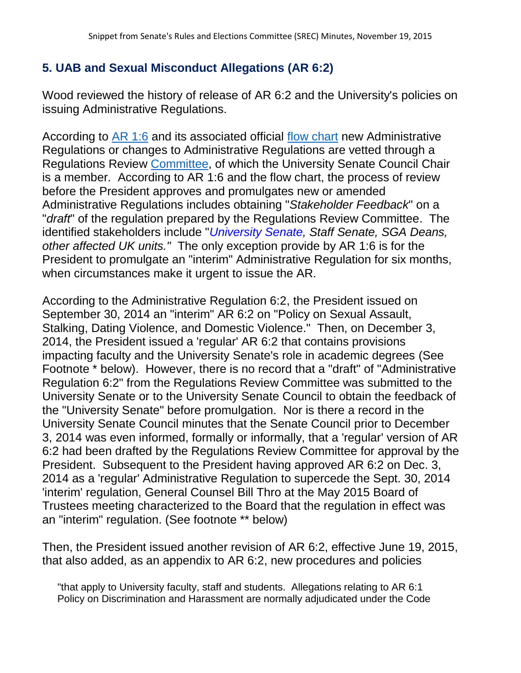## **5. UAB and Sexual Misconduct Allegations (AR 6:2)**

Wood reviewed the history of release of AR 6:2 and the University's policies on issuing Administrative Regulations.

According to [AR 1:6](http://www.uky.edu/regs/files/ar/ar1-6.pdf) and its associated official [flow chart](http://www.uky.edu/regs/files/AR%20Process%20Flow%20Chart.pdf) new Administrative Regulations or changes to Administrative Regulations are vetted through a Regulations Review [Committee,](http://www.uky.edu/regs/committee.htm) of which the University Senate Council Chair is a member. According to AR 1:6 and the flow chart, the process of review before the President approves and promulgates new or amended Administrative Regulations includes obtaining "*Stakeholder Feedback*" on a "*draft*" of the regulation prepared by the Regulations Review Committee. The identified stakeholders include "*University Senate, Staff Senate, SGA Deans, other affected UK units."* The only exception provide by AR 1:6 is for the President to promulgate an "interim" Administrative Regulation for six months, when circumstances make it urgent to issue the AR.

According to the Administrative Regulation 6:2, the President issued on September 30, 2014 an "interim" AR 6:2 on "Policy on Sexual Assault, Stalking, Dating Violence, and Domestic Violence." Then, on December 3, 2014, the President issued a 'regular' AR 6:2 that contains provisions impacting faculty and the University Senate's role in academic degrees (See Footnote \* below). However, there is no record that a "draft" of "Administrative Regulation 6:2" from the Regulations Review Committee was submitted to the University Senate or to the University Senate Council to obtain the feedback of the "University Senate" before promulgation. Nor is there a record in the University Senate Council minutes that the Senate Council prior to December 3, 2014 was even informed, formally or informally, that a 'regular' version of AR 6:2 had been drafted by the Regulations Review Committee for approval by the President. Subsequent to the President having approved AR 6:2 on Dec. 3, 2014 as a 'regular' Administrative Regulation to supercede the Sept. 30, 2014 'interim' regulation, General Counsel Bill Thro at the May 2015 Board of Trustees meeting characterized to the Board that the regulation in effect was an "interim" regulation. (See footnote \*\* below)

Then, the President issued another revision of AR 6:2, effective June 19, 2015, that also added, as an appendix to AR 6:2, new procedures and policies

"that apply to University faculty, staff and students. Allegations relating to AR 6:1 Policy on Discrimination and Harassment are normally adjudicated under the Code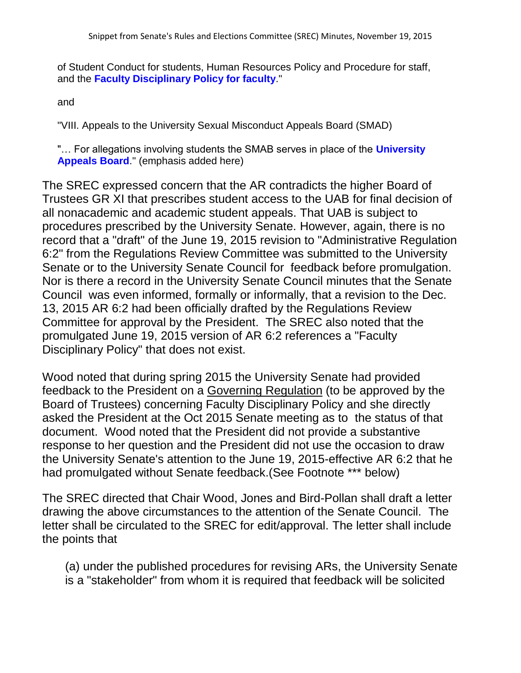of Student Conduct for students, Human Resources Policy and Procedure for staff, and the **Faculty Disciplinary Policy for faculty**."

and

"VIII. Appeals to the University Sexual Misconduct Appeals Board (SMAD)

"… For allegations involving students the SMAB serves in place of the **University Appeals Board**." (emphasis added here)

The SREC expressed concern that the AR contradicts the higher Board of Trustees GR XI that prescribes student access to the UAB for final decision of all nonacademic and academic student appeals. That UAB is subject to procedures prescribed by the University Senate. However, again, there is no record that a "draft" of the June 19, 2015 revision to "Administrative Regulation 6:2" from the Regulations Review Committee was submitted to the University Senate or to the University Senate Council for feedback before promulgation. Nor is there a record in the University Senate Council minutes that the Senate Council was even informed, formally or informally, that a revision to the Dec. 13, 2015 AR 6:2 had been officially drafted by the Regulations Review Committee for approval by the President. The SREC also noted that the promulgated June 19, 2015 version of AR 6:2 references a "Faculty Disciplinary Policy" that does not exist.

Wood noted that during spring 2015 the University Senate had provided feedback to the President on a Governing Regulation (to be approved by the Board of Trustees) concerning Faculty Disciplinary Policy and she directly asked the President at the Oct 2015 Senate meeting as to the status of that document. Wood noted that the President did not provide a substantive response to her question and the President did not use the occasion to draw the University Senate's attention to the June 19, 2015-effective AR 6:2 that he had promulgated without Senate feedback.(See Footnote \*\*\* below)

The SREC directed that Chair Wood, Jones and Bird-Pollan shall draft a letter drawing the above circumstances to the attention of the Senate Council. The letter shall be circulated to the SREC for edit/approval. The letter shall include the points that

(a) under the published procedures for revising ARs, the University Senate is a "stakeholder" from whom it is required that feedback will be solicited